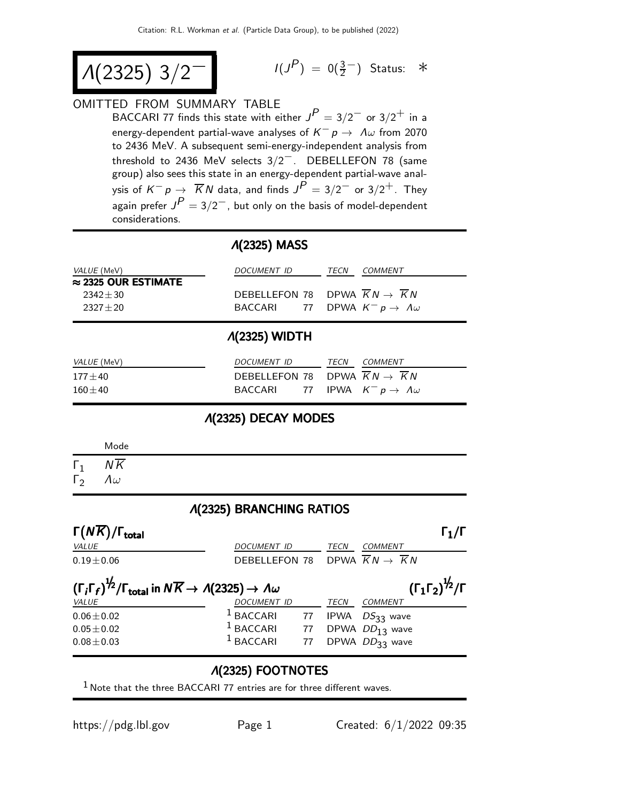$$
\Lambda(2325) \; 3/2^{-1} \qquad \qquad ^{1/3}
$$

$$
I(J^P) = 0(\frac{3}{2}^-)
$$
 Status: \*

## OMITTED FROM SUMMARY TABLE

BACCARI 77 finds this state with either  $J^P = 3/2^-$  or  $3/2^+$  in a energy-dependent partial-wave analyses of  $\overline{K^-} \rho \stackrel{\cdot}{\rightarrow} \, \Lambda \omega$  from 2070 to 2436 MeV. A subsequent semi-energy-independent analysis from threshold to 2436 MeV selects 3/2−. DEBELLEFON 78 (same group) also sees this state in an energy-dependent partial-wave analysis of  $K^-p\rightarrow \overline{K}N$  data, and finds  $J^{\cancel{P}}=3/2^-$  or  $3/2^+$ . They again prefer  $J^P=3/2^-$ , but only on the basis of model-dependent considerations.

## Λ(2325) MASS

| <i>VALUE</i> (MeV)          | DOCUMENT ID | COMMENT<br><b>TFCN</b>                     |
|-----------------------------|-------------|--------------------------------------------|
| $\approx$ 2325 OUR ESTIMATE |             |                                            |
| $2342 + 30$                 |             | DEBELLEFON 78 DPWA $KN \rightarrow KN$     |
| $2327 + 20$                 |             | BACCARI 77 DPWA $K^- p \to \Lambda \omega$ |
|                             |             |                                            |

## Λ(2325) WIDTH

| <i>VALUE</i> (MeV) | DOCUMENT ID                                | <i>TECN COMMENT</i> |
|--------------------|--------------------------------------------|---------------------|
| $177 \pm 40$       | DEBELLEFON 78 DPWA $KN \rightarrow KN$     |                     |
| $160\pm40$         | BACCARI 77 IPWA $K^- p \to \Lambda \omega$ |                     |

Λ(2325) DECAY MODES

|              | Mode             |
|--------------|------------------|
| $\Gamma_1$   | $N\overline{K}$  |
| $\Gamma_{2}$ | $\Lambda \omega$ |

#### Λ(2325) BRANCHING RATIOS

| $\Gamma(N\overline{K})/\Gamma_{\rm total}$                                                                                 |                                                              |    |      | $\Gamma_1/\Gamma$                                           |
|----------------------------------------------------------------------------------------------------------------------------|--------------------------------------------------------------|----|------|-------------------------------------------------------------|
| VALUE                                                                                                                      | <b>DOCUMENT ID</b>                                           |    | TECN | <b>COMMENT</b>                                              |
| $0.19 \pm 0.06$                                                                                                            | DEBELLEFON 78 DPWA $\overline{K}N \rightarrow \overline{K}N$ |    |      |                                                             |
| $(\Gamma_i \Gamma_f)^{\frac{1}{2}} / \Gamma_{total}$ in $N \overline{K} \rightarrow A(2325) \rightarrow A \omega$<br>VALUE | DOCUMENT ID                                                  |    | TECN | $(\Gamma_1\Gamma_2)^{\frac{1}{2}}/\Gamma$<br><b>COMMENT</b> |
| $0.06 \pm 0.02$                                                                                                            | $1$ BACCARI                                                  | 77 |      | IPWA $DS_{33}$ wave                                         |
| $0.05 \pm 0.02$                                                                                                            | $1$ BACCARI 77                                               |    |      | DPWA $DD_{13}$ wave                                         |
| $0.08 \pm 0.03$                                                                                                            | $^1$ BACCARI                                                 | 77 |      | DPWA DD33 wave                                              |
|                                                                                                                            |                                                              |    |      |                                                             |

## Λ(2325) FOOTNOTES

 $1$  Note that the three BACCARI 77 entries are for three different waves.

https://pdg.lbl.gov Page 1 Created: 6/1/2022 09:35